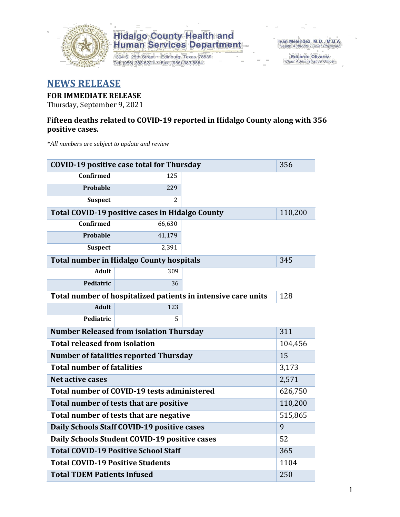

1304 S. 25th Street · Edinburg, Texas 78539 Tel: (956) 383-6221 · Fax: (956) 383-8864

Iván Meléndez, M.D., M.B.A.<br>Health Authority / Chief Physician

Eduardo Olivarez Chief Administrative Officer

#### **NEWS RELEASE**

#### **FOR IMMEDIATE RELEASE**

Thursday, September 9, 2021

#### **Fifteen deaths related to COVID-19 reported in Hidalgo County along with 356 positive cases.**

*\*All numbers are subject to update and review*

|                                                | <b>COVID-19 positive case total for Thursday</b>       |                                                               | 356     |
|------------------------------------------------|--------------------------------------------------------|---------------------------------------------------------------|---------|
| <b>Confirmed</b>                               | 125                                                    |                                                               |         |
| Probable                                       | 229                                                    |                                                               |         |
| <b>Suspect</b>                                 | 2                                                      |                                                               |         |
|                                                | <b>Total COVID-19 positive cases in Hidalgo County</b> |                                                               | 110,200 |
| <b>Confirmed</b>                               | 66,630                                                 |                                                               |         |
| Probable                                       | 41,179                                                 |                                                               |         |
| <b>Suspect</b>                                 | 2,391                                                  |                                                               |         |
|                                                | <b>Total number in Hidalgo County hospitals</b>        |                                                               | 345     |
| <b>Adult</b>                                   | 309                                                    |                                                               |         |
| Pediatric                                      | 36                                                     |                                                               |         |
|                                                |                                                        | Total number of hospitalized patients in intensive care units | 128     |
| <b>Adult</b>                                   | 123                                                    |                                                               |         |
| Pediatric                                      | 5                                                      |                                                               |         |
| <b>Number Released from isolation Thursday</b> | 311                                                    |                                                               |         |
| <b>Total released from isolation</b>           | 104,456                                                |                                                               |         |
| <b>Number of fatalities reported Thursday</b>  | 15                                                     |                                                               |         |
| <b>Total number of fatalities</b>              | 3,173                                                  |                                                               |         |
| Net active cases                               |                                                        |                                                               | 2,571   |
|                                                | Total number of COVID-19 tests administered            |                                                               | 626,750 |
|                                                | Total number of tests that are positive                |                                                               | 110,200 |
| Total number of tests that are negative        | 515,865                                                |                                                               |         |
| Daily Schools Staff COVID-19 positive cases    | 9                                                      |                                                               |         |
| Daily Schools Student COVID-19 positive cases  |                                                        | 52                                                            |         |
| <b>Total COVID-19 Positive School Staff</b>    | 365                                                    |                                                               |         |
| <b>Total COVID-19 Positive Students</b>        |                                                        |                                                               | 1104    |
| <b>Total TDEM Patients Infused</b>             | 250                                                    |                                                               |         |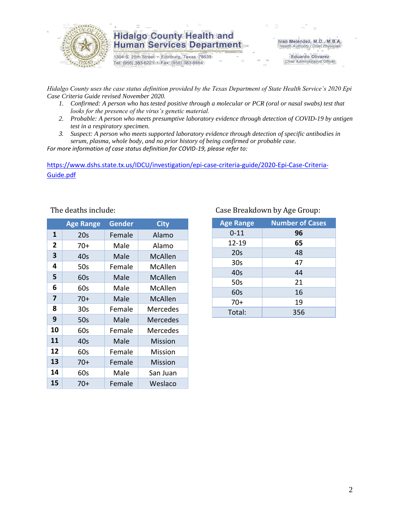

1304 S. 25th Street · Edinburg, Texas 78539 Tel: (956) 383-6221 · Fax: (956) 383-8864

Iván Meléndez, M.D., M.B.A. Health Authority / Chief Physician

> **Eduardo Olivarez** Chief Administrative Officer

*Hidalgo County uses the case status definition provided by the Texas Department of State Health Service's 2020 Epi Case Criteria Guide revised November 2020.*

- *1. Confirmed: A person who has tested positive through a molecular or PCR (oral or nasal swabs) test that looks for the presence of the virus's genetic material.*
- *2. Probable: A person who meets presumptive laboratory evidence through detection of COVID-19 by antigen test in a respiratory specimen.*
- *3. Suspect: A person who meets supported laboratory evidence through detection of specific antibodies in serum, plasma, whole body, and no prior history of being confirmed or probable case.*

*For more information of case status definition for COVID-19, please refer to:*

[https://www.dshs.state.tx.us/IDCU/investigation/epi-case-criteria-guide/2020-Epi-Case-Criteria-](https://www.dshs.state.tx.us/IDCU/investigation/epi-case-criteria-guide/2020-Epi-Case-Criteria-Guide.pdf)[Guide.pdf](https://www.dshs.state.tx.us/IDCU/investigation/epi-case-criteria-guide/2020-Epi-Case-Criteria-Guide.pdf)

|              | <b>Age Range</b> | <b>Gender</b> | <b>City</b>    |
|--------------|------------------|---------------|----------------|
| 1            | 20s              | Female        | Alamo          |
| $\mathbf{2}$ | 70+              | Male          | Alamo          |
| 3            | 40s              | Male          | <b>McAllen</b> |
| 4            | 50s              | Female        | McAllen        |
| 5            | 60s              | Male          | McAllen        |
| 6            | 60s              | Male          | McAllen        |
| 7            | $70+$            | Male          | McAllen        |
| 8            | 30 <sub>s</sub>  | Female        | Mercedes       |
| 9            | 50s              | Male          | Mercedes       |
| 10           | 60s              | Female        | Mercedes       |
| 11           | 40s              | Male          | Mission        |
| 12           | 60s              | Female        | Mission        |
| 13           | $70+$            | Female        | <b>Mission</b> |
| 14           | 60s              | Male          | San Juan       |
| 15           | 70+              | Female        | Weslaco        |

#### The deaths include: Case Breakdown by Age Group:

| <b>Age Range</b> | <b>Number of Cases</b> |
|------------------|------------------------|
| $0 - 11$         | 96                     |
| 12-19            | 65                     |
| 20s              | 48                     |
| 30 <sub>s</sub>  | 47                     |
| 40s              | 44                     |
| 50s              | 21                     |
| 60s              | 16                     |
| $70+$            | 19                     |
| Total:           | 356                    |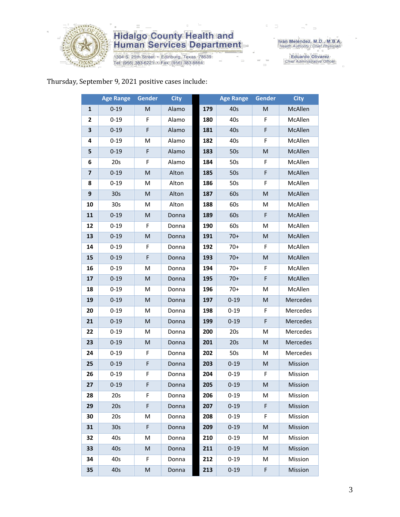

1304 S. 25th Street • Edinburg, Texas 78539<br>Tel: (956) 383-6221 • Fax: (956) 383-8864

Iván Meléndez, M.D., M.B.A.<br>Health Authority / Chief Physician

Eduardo Olivarez<br>Chief Administrative Officer

#### Thursday, September 9, 2021 positive cases include:

|                | <b>Age Range</b> | Gender                                                                                                     | <b>City</b> |     | <b>Age Range</b> | Gender                                                                                                     | <b>City</b> |
|----------------|------------------|------------------------------------------------------------------------------------------------------------|-------------|-----|------------------|------------------------------------------------------------------------------------------------------------|-------------|
| 1              | $0 - 19$         | M                                                                                                          | Alamo       | 179 | 40s              | M                                                                                                          | McAllen     |
| 2              | $0 - 19$         | F                                                                                                          | Alamo       | 180 | 40s              | F                                                                                                          | McAllen     |
| 3              | $0 - 19$         | F                                                                                                          | Alamo       | 181 | 40s              | F                                                                                                          | McAllen     |
| 4              | $0 - 19$         | M                                                                                                          | Alamo       | 182 | 40s              | F                                                                                                          | McAllen     |
| 5              | $0 - 19$         | F                                                                                                          | Alamo       | 183 | 50s              | ${\sf M}$                                                                                                  | McAllen     |
| 6              | 20s              | F                                                                                                          | Alamo       | 184 | 50s              | F                                                                                                          | McAllen     |
| $\overline{7}$ | $0 - 19$         | $\mathsf{M}% _{T}=\mathsf{M}_{T}\!\left( a,b\right) ,\ \mathsf{M}_{T}=\mathsf{M}_{T}\!\left( a,b\right) ,$ | Alton       | 185 | 50s              | F                                                                                                          | McAllen     |
| 8              | $0 - 19$         | M                                                                                                          | Alton       | 186 | 50s              | F                                                                                                          | McAllen     |
| 9              | 30 <sub>s</sub>  | M                                                                                                          | Alton       | 187 | 60s              | ${\sf M}$                                                                                                  | McAllen     |
| 10             | 30 <sub>s</sub>  | M                                                                                                          | Alton       | 188 | 60s              | M                                                                                                          | McAllen     |
| 11             | $0 - 19$         | ${\sf M}$                                                                                                  | Donna       | 189 | 60s              | F                                                                                                          | McAllen     |
| 12             | $0 - 19$         | F                                                                                                          | Donna       | 190 | 60s              | M                                                                                                          | McAllen     |
| 13             | $0 - 19$         | M                                                                                                          | Donna       | 191 | $70+$            | ${\sf M}$                                                                                                  | McAllen     |
| 14             | $0 - 19$         | F                                                                                                          | Donna       | 192 | $70+$            | F                                                                                                          | McAllen     |
| 15             | $0 - 19$         | F                                                                                                          | Donna       | 193 | $70+$            | ${\sf M}$                                                                                                  | McAllen     |
| 16             | $0 - 19$         | M                                                                                                          | Donna       | 194 | $70+$            | F                                                                                                          | McAllen     |
| 17             | $0 - 19$         | M                                                                                                          | Donna       | 195 | $70+$            | F                                                                                                          | McAllen     |
| 18             | $0 - 19$         | M                                                                                                          | Donna       | 196 | $70+$            | M                                                                                                          | McAllen     |
| 19             | $0 - 19$         | $\mathsf{M}% _{T}=\mathsf{M}_{T}\!\left( a,b\right) ,\ \mathsf{M}_{T}=\mathsf{M}_{T}\!\left( a,b\right) ,$ | Donna       | 197 | $0 - 19$         | ${\sf M}$                                                                                                  | Mercedes    |
| 20             | $0 - 19$         | M                                                                                                          | Donna       | 198 | $0 - 19$         | F                                                                                                          | Mercedes    |
| 21             | $0 - 19$         | M                                                                                                          | Donna       | 199 | $0 - 19$         | F                                                                                                          | Mercedes    |
| 22             | $0 - 19$         | M                                                                                                          | Donna       | 200 | 20s              | M                                                                                                          | Mercedes    |
| 23             | $0 - 19$         | M                                                                                                          | Donna       | 201 | 20s              | M                                                                                                          | Mercedes    |
| 24             | $0 - 19$         | F                                                                                                          | Donna       | 202 | 50s              | M                                                                                                          | Mercedes    |
| 25             | $0 - 19$         | F                                                                                                          | Donna       | 203 | $0 - 19$         | ${\sf M}$                                                                                                  | Mission     |
| 26             | $0 - 19$         | F                                                                                                          | Donna       | 204 | $0 - 19$         | F                                                                                                          | Mission     |
| 27             | $0 - 19$         | F                                                                                                          | Donna       | 205 | $0 - 19$         | M                                                                                                          | Mission     |
| 28             | 20s              | F.                                                                                                         | Donna       | 206 | $0 - 19$         | M                                                                                                          | Mission     |
| 29             | 20s              | F                                                                                                          | Donna       | 207 | $0 - 19$         | F                                                                                                          | Mission     |
| 30             | 20s              | M                                                                                                          | Donna       | 208 | $0 - 19$         | F                                                                                                          | Mission     |
| 31             | 30 <sub>s</sub>  | F                                                                                                          | Donna       | 209 | $0 - 19$         | $\mathsf{M}% _{T}=\mathsf{M}_{T}\!\left( a,b\right) ,\ \mathsf{M}_{T}=\mathsf{M}_{T}\!\left( a,b\right) ,$ | Mission     |
| 32             | 40s              | M                                                                                                          | Donna       | 210 | $0 - 19$         | M                                                                                                          | Mission     |
| 33             | 40s              | M                                                                                                          | Donna       | 211 | $0 - 19$         | ${\sf M}$                                                                                                  | Mission     |
| 34             | 40s              | F                                                                                                          | Donna       | 212 | $0 - 19$         | M                                                                                                          | Mission     |
| 35             | 40s              | ${\sf M}$                                                                                                  | Donna       | 213 | $0 - 19$         | F                                                                                                          | Mission     |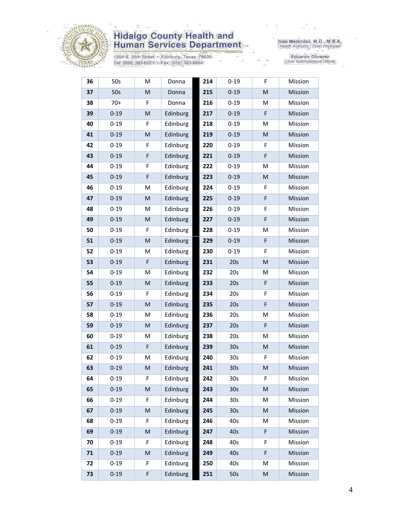

1304 S. 25th Street • Edinburg, Texas 78539<br>Tel: (956) 383-6221 • Fax: (956) 383-8864

Iván Meléndez, M.D., M.B.A.<br>Health Authority / Chief Physician

Eduardo Olivarez<br>Chief Administrative Officer

| 36 | 50s      | M           | Donna    | 214 | $0 - 19$        | F         | Mission |
|----|----------|-------------|----------|-----|-----------------|-----------|---------|
| 37 | 50s      | M           | Donna    | 215 | $0 - 19$        | ${\sf M}$ | Mission |
| 38 | $70+$    | F           | Donna    | 216 | $0 - 19$        | M         | Mission |
| 39 | $0 - 19$ | M           | Edinburg | 217 | $0 - 19$        | F         | Mission |
| 40 | $0 - 19$ | F           | Edinburg | 218 | $0 - 19$        | M         | Mission |
| 41 | $0 - 19$ | M           | Edinburg | 219 | $0 - 19$        | ${\sf M}$ | Mission |
| 42 | $0 - 19$ | F           | Edinburg | 220 | $0 - 19$        | F         | Mission |
| 43 | $0 - 19$ | F           | Edinburg | 221 | $0 - 19$        | F         | Mission |
| 44 | $0 - 19$ | F           | Edinburg | 222 | $0 - 19$        | M         | Mission |
| 45 | $0 - 19$ | $\mathsf F$ | Edinburg | 223 | $0 - 19$        | ${\sf M}$ | Mission |
| 46 | $0 - 19$ | M           | Edinburg | 224 | $0 - 19$        | F         | Mission |
| 47 | $0 - 19$ | M           | Edinburg | 225 | $0 - 19$        | F         | Mission |
| 48 | $0 - 19$ | Μ           | Edinburg | 226 | $0 - 19$        | F         | Mission |
| 49 | $0 - 19$ | M           | Edinburg | 227 | $0 - 19$        | F         | Mission |
| 50 | $0 - 19$ | F           | Edinburg | 228 | $0 - 19$        | M         | Mission |
| 51 | $0 - 19$ | M           | Edinburg | 229 | $0 - 19$        | F         | Mission |
| 52 | $0 - 19$ | Μ           | Edinburg | 230 | $0 - 19$        | F         | Mission |
| 53 | $0 - 19$ | F           | Edinburg | 231 | 20s             | ${\sf M}$ | Mission |
| 54 | $0 - 19$ | M           | Edinburg | 232 | 20s             | M         | Mission |
| 55 | $0 - 19$ | M           | Edinburg | 233 | 20s             | F         | Mission |
| 56 | $0 - 19$ | F           | Edinburg | 234 | 20s             | F         | Mission |
| 57 | $0 - 19$ | M           | Edinburg | 235 | 20s             | F         | Mission |
| 58 | $0 - 19$ | Μ           | Edinburg | 236 | 20s             | M         | Mission |
| 59 | $0 - 19$ | M           | Edinburg | 237 | 20s             | F         | Mission |
| 60 | $0 - 19$ | М           | Edinburg | 238 | 20s             | M         | Mission |
| 61 | $0 - 19$ | F           | Edinburg | 239 | 30 <sub>s</sub> | ${\sf M}$ | Mission |
| 62 | $0 - 19$ | Μ           | Edinburg | 240 | 30 <sub>s</sub> | F         | Mission |
| 63 | $0 - 19$ | M           | Edinburg | 241 | 30 <sub>s</sub> | ${\sf M}$ | Mission |
| 64 | $0 - 19$ | F           | Edinburg | 242 | 30 <sub>s</sub> | F         | Mission |
| 65 | $0 - 19$ | M           | Edinburg | 243 | 30 <sub>s</sub> | ${\sf M}$ | Mission |
| 66 | $0 - 19$ | F           | Edinburg | 244 | 30 <sub>s</sub> | M         | Mission |
| 67 | $0 - 19$ | M           | Edinburg | 245 | 30 <sub>s</sub> | ${\sf M}$ | Mission |
| 68 | $0 - 19$ | F           | Edinburg | 246 | 40s             | M         | Mission |
| 69 | $0 - 19$ | M           | Edinburg | 247 | 40s             | F         | Mission |
| 70 | $0 - 19$ | F           | Edinburg | 248 | 40s             | F         | Mission |
| 71 | $0 - 19$ | M           | Edinburg | 249 | 40s             | F         | Mission |
| 72 | $0 - 19$ | F           | Edinburg | 250 | 40s             | M         | Mission |
| 73 | $0 - 19$ | F           | Edinburg | 251 | 50s             | ${\sf M}$ | Mission |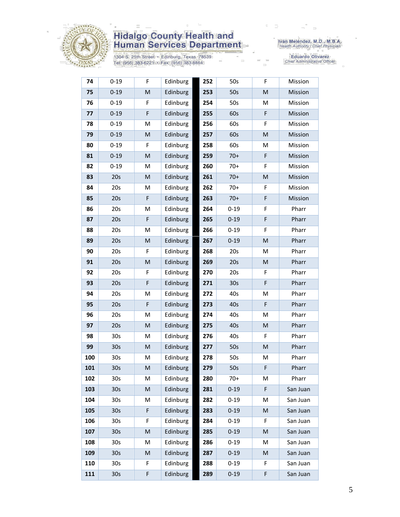

1304 S. 25th Street • Edinburg, Texas 78539<br>Tel: (956) 383-6221 • Fax: (956) 383-8864

Iván Meléndez, M.D., M.B.A.<br>Health Authority / Chief Physician

Eduardo Olivarez<br>Chief Administrative Officer

| 74  | $0 - 19$        | F           | Edinburg | 252 | 50s             | F | Mission  |
|-----|-----------------|-------------|----------|-----|-----------------|---|----------|
| 75  | $0 - 19$        | M           | Edinburg | 253 | 50s             | M | Mission  |
| 76  | $0 - 19$        | F           | Edinburg | 254 | 50s             | M | Mission  |
| 77  | $0 - 19$        | $\mathsf F$ | Edinburg | 255 | 60s             | F | Mission  |
| 78  | $0 - 19$        | M           | Edinburg | 256 | 60s             | F | Mission  |
| 79  | $0 - 19$        | ${\sf M}$   | Edinburg | 257 | 60s             | M | Mission  |
| 80  | $0 - 19$        | F.          | Edinburg | 258 | 60s             | M | Mission  |
| 81  | $0 - 19$        | M           | Edinburg | 259 | $70+$           | F | Mission  |
| 82  | $0 - 19$        | M           | Edinburg | 260 | $70+$           | F | Mission  |
| 83  | 20s             | ${\sf M}$   | Edinburg | 261 | $70+$           | M | Mission  |
| 84  | 20s             | M           | Edinburg | 262 | $70+$           | F | Mission  |
| 85  | 20s             | F           | Edinburg | 263 | $70+$           | F | Mission  |
| 86  | 20s             | M           | Edinburg | 264 | $0 - 19$        | F | Pharr    |
| 87  | 20s             | $\mathsf F$ | Edinburg | 265 | $0 - 19$        | F | Pharr    |
| 88  | 20s             | M           | Edinburg | 266 | $0 - 19$        | F | Pharr    |
| 89  | 20s             | M           | Edinburg | 267 | $0 - 19$        | M | Pharr    |
| 90  | 20s             | F           | Edinburg | 268 | 20s             | M | Pharr    |
| 91  | 20s             | ${\sf M}$   | Edinburg | 269 | 20s             | M | Pharr    |
| 92  | 20s             | F           | Edinburg | 270 | 20s             | F | Pharr    |
| 93  | 20s             | $\mathsf F$ | Edinburg | 271 | 30 <sub>s</sub> | F | Pharr    |
| 94  | 20s             | М           | Edinburg | 272 | 40s             | Μ | Pharr    |
| 95  | 20s             | F           | Edinburg | 273 | 40s             | F | Pharr    |
| 96  | 20s             | M           | Edinburg | 274 | 40s             | M | Pharr    |
| 97  | 20s             | M           | Edinburg | 275 | 40s             | M | Pharr    |
| 98  | 30 <sub>s</sub> | M           | Edinburg | 276 | 40s             | F | Pharr    |
| 99  | 30 <sub>s</sub> | M           | Edinburg | 277 | 50s             | M | Pharr    |
| 100 | 30s             | Μ           | Edinburg | 278 | 50s             | М | Pharr    |
| 101 | 30s             | M           | Edinburg | 279 | 50s             | F | Pharr    |
| 102 | 30s             | м           | Edinburg | 280 | 70+             | м | Pharr    |
| 103 | 30 <sub>s</sub> | M           | Edinburg | 281 | $0 - 19$        | F | San Juan |
| 104 | 30s             | М           | Edinburg | 282 | $0 - 19$        | м | San Juan |
| 105 | 30 <sub>s</sub> | F           | Edinburg | 283 | $0 - 19$        | M | San Juan |
| 106 | 30s             | F           | Edinburg | 284 | $0 - 19$        | F | San Juan |
| 107 | 30 <sub>s</sub> | M           | Edinburg | 285 | $0 - 19$        | M | San Juan |
| 108 | 30s             | Μ           | Edinburg | 286 | $0 - 19$        | М | San Juan |
| 109 | 30 <sub>s</sub> | M           | Edinburg | 287 | $0 - 19$        | M | San Juan |
| 110 | 30s             | F.          | Edinburg | 288 | $0 - 19$        | F | San Juan |
| 111 | 30 <sub>s</sub> | F           | Edinburg | 289 | $0 - 19$        | F | San Juan |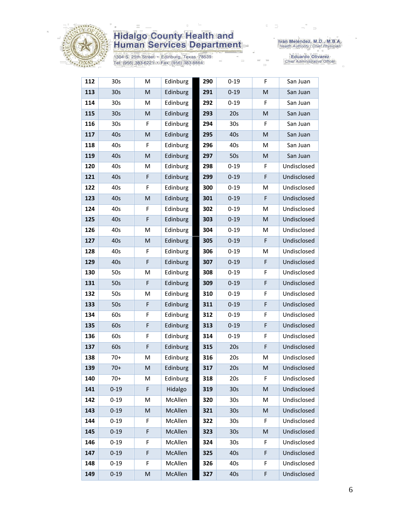

1304 S. 25th Street • Edinburg, Texas 78539<br>Tel: (956) 383-6221 • Fax: (956) 383-8864

Iván Meléndez, M.D., M.B.A.<br>Health Authority / Chief Physician

Eduardo Olivarez<br>Chief Administrative Officer

| 112 | 30 <sub>s</sub> | M           | Edinburg | 290 | $0 - 19$        | F | San Juan    |
|-----|-----------------|-------------|----------|-----|-----------------|---|-------------|
| 113 | 30 <sub>s</sub> | M           | Edinburg | 291 | $0 - 19$        | M | San Juan    |
| 114 | 30 <sub>s</sub> | M           | Edinburg | 292 | $0 - 19$        | F | San Juan    |
| 115 | 30 <sub>s</sub> | M           | Edinburg | 293 | 20s             | M | San Juan    |
| 116 | 30 <sub>s</sub> | F           | Edinburg | 294 | 30 <sub>s</sub> | F | San Juan    |
| 117 | 40s             | M           | Edinburg | 295 | 40s             | M | San Juan    |
| 118 | 40s             | F           | Edinburg | 296 | 40s             | M | San Juan    |
| 119 | 40s             | ${\sf M}$   | Edinburg | 297 | 50s             | M | San Juan    |
| 120 | 40s             | M           | Edinburg | 298 | $0 - 19$        | F | Undisclosed |
| 121 | 40s             | F           | Edinburg | 299 | $0 - 19$        | F | Undisclosed |
| 122 | 40s             | F           | Edinburg | 300 | $0 - 19$        | M | Undisclosed |
| 123 | 40s             | M           | Edinburg | 301 | $0 - 19$        | F | Undisclosed |
| 124 | 40s             | F           | Edinburg | 302 | $0 - 19$        | M | Undisclosed |
| 125 | 40s             | F           | Edinburg | 303 | $0 - 19$        | M | Undisclosed |
| 126 | 40s             | M           | Edinburg | 304 | $0 - 19$        | M | Undisclosed |
| 127 | 40s             | M           | Edinburg | 305 | $0 - 19$        | F | Undisclosed |
| 128 | 40s             | F           | Edinburg | 306 | $0 - 19$        | M | Undisclosed |
| 129 | 40s             | F           | Edinburg | 307 | $0 - 19$        | F | Undisclosed |
| 130 | 50s             | M           | Edinburg | 308 | $0 - 19$        | F | Undisclosed |
| 131 | 50s             | $\mathsf F$ | Edinburg | 309 | $0 - 19$        | F | Undisclosed |
| 132 | 50s             | M           | Edinburg | 310 | $0 - 19$        | F | Undisclosed |
| 133 | 50s             | F           | Edinburg | 311 | $0 - 19$        | F | Undisclosed |
| 134 | 60s             | F           | Edinburg | 312 | $0 - 19$        | F | Undisclosed |
| 135 | 60s             | F           | Edinburg | 313 | $0 - 19$        | F | Undisclosed |
| 136 | 60s             | F           | Edinburg | 314 | $0 - 19$        | F | Undisclosed |
| 137 | 60s             | F           | Edinburg | 315 | 20s             | F | Undisclosed |
| 138 | $70+$           | M           | Edinburg | 316 | 20s             | M | Undisclosed |
| 139 | $70+$           | M           | Edinburg | 317 | 20s             | M | Undisclosed |
| 140 | $70+$           | M           | Edinburg | 318 | 20s             | F | Undisclosed |
| 141 | $0 - 19$        | F           | Hidalgo  | 319 | 30 <sub>s</sub> | M | Undisclosed |
| 142 | $0 - 19$        | M           | McAllen  | 320 | 30s             | M | Undisclosed |
| 143 | $0 - 19$        | M           | McAllen  | 321 | 30 <sub>s</sub> | M | Undisclosed |
| 144 | $0 - 19$        | F           | McAllen  | 322 | 30 <sub>s</sub> | F | Undisclosed |
| 145 | $0 - 19$        | F           | McAllen  | 323 | 30 <sub>s</sub> | M | Undisclosed |
| 146 | $0 - 19$        | F           | McAllen  | 324 | 30 <sub>s</sub> | F | Undisclosed |
| 147 | $0 - 19$        | F           | McAllen  | 325 | 40s             | F | Undisclosed |
| 148 | $0 - 19$        | F           | McAllen  | 326 | 40s             | F | Undisclosed |
| 149 | $0 - 19$        | M           | McAllen  | 327 | 40s             | F | Undisclosed |